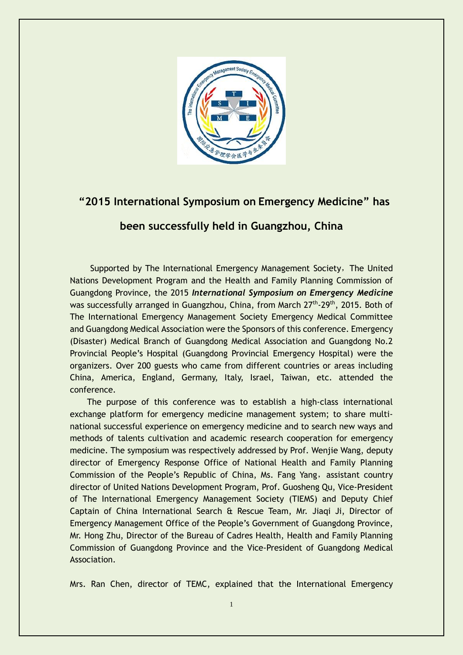

## **"2015 International Symposium on Emergency Medicine" has**

## **been successfully held in Guangzhou, China**

Supported by The International Emergency Management Society, The United Nations Development Program and the Health and Family Planning Commission of Guangdong Province, the 2015 *International Symposium on Emergency Medicine* was successfully arranged in Guangzhou, China, from March 27<sup>th</sup>-29<sup>th</sup>, 2015. Both of The International Emergency Management Society Emergency Medical Committee and Guangdong Medical Association were the Sponsors of this conference. Emergency (Disaster) Medical Branch of Guangdong Medical Association and Guangdong No.2 Provincial People's Hospital (Guangdong Provincial Emergency Hospital) were the organizers. Over 200 guests who came from different countries or areas including China, America, England, Germany, Italy, Israel, Taiwan, etc. attended the conference.

 The purpose of this conference was to establish a high-class international exchange platform for emergency medicine management system; to share multinational successful experience on emergency medicine and to search new ways and methods of talents cultivation and academic research cooperation for emergency medicine. The symposium was respectively addressed by Prof. Wenjie Wang, deputy director of Emergency Response Office of National Health and Family Planning Commission of the People's Republic of China, Ms. Fang Yang, assistant country director of United Nations Development Program, Prof. Guosheng Qu, Vice-President of The International Emergency Management Society (TIEMS) and Deputy Chief Captain of China International Search & Rescue Team, Mr. Jiaqi Ji, Director of Emergency Management Office of the People's Government of Guangdong Province, Mr. Hong Zhu, Director of the Bureau of Cadres Health, Health and Family Planning Commission of Guangdong Province and the Vice-President of Guangdong Medical Association.

Mrs. Ran Chen, director of TEMC, explained that the International Emergency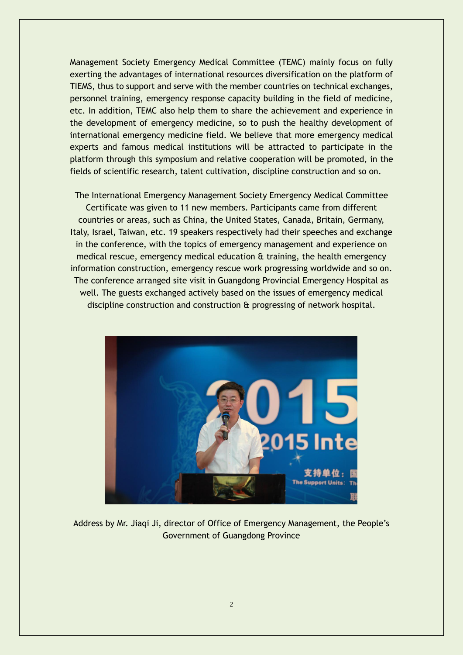Management Society Emergency Medical Committee (TEMC) mainly focus on fully exerting the advantages of international resources diversification on the platform of TIEMS, thus to support and serve with the member countries on technical exchanges, personnel training, emergency response capacity building in the field of medicine, etc. In addition, TEMC also help them to share the achievement and experience in the development of emergency medicine, so to push the healthy development of international emergency medicine field. We believe that more emergency medical experts and famous medical institutions will be attracted to participate in the platform through this symposium and relative cooperation will be promoted, in the fields of scientific research, talent cultivation, discipline construction and so on.

The International Emergency Management Society Emergency Medical Committee Certificate was given to 11 new members. Participants came from different countries or areas, such as China, the United States, Canada, Britain, Germany, Italy, Israel, Taiwan, etc. 19 speakers respectively had their speeches and exchange in the conference, with the topics of emergency management and experience on medical rescue, emergency medical education & training, the health emergency information construction, emergency rescue work progressing worldwide and so on. The conference arranged site visit in Guangdong Provincial Emergency Hospital as well. The guests exchanged actively based on the issues of emergency medical discipline construction and construction & progressing of network hospital.



Address by Mr. Jiaqi Ji, director of Office of Emergency Management, the People's Government of Guangdong Province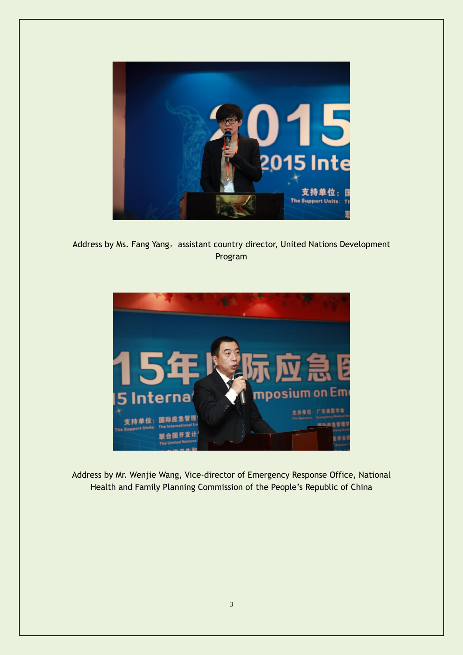

Address by Ms. Fang Yang, assistant country director, United Nations Development Program



Address by Mr. Wenjie Wang, Vice-director of Emergency Response Office, National Health and Family Planning Commission of the People's Republic of China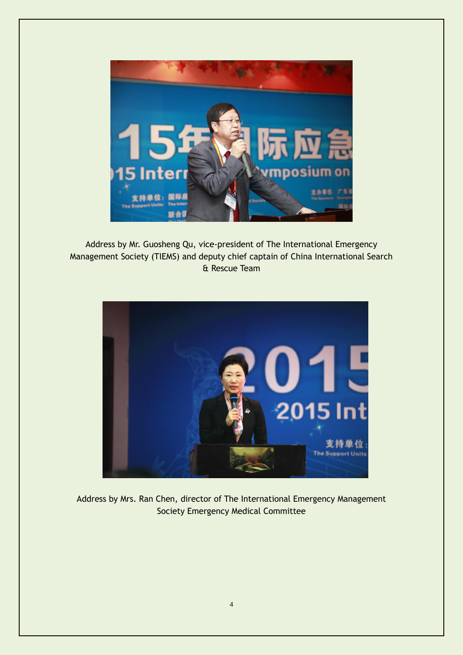

Address by Mr. Guosheng Qu, vice-president of The International Emergency Management Society (TIEMS) and deputy chief captain of China International Search & Rescue Team



Address by Mrs. Ran Chen, director of The International Emergency Management Society Emergency Medical Committee